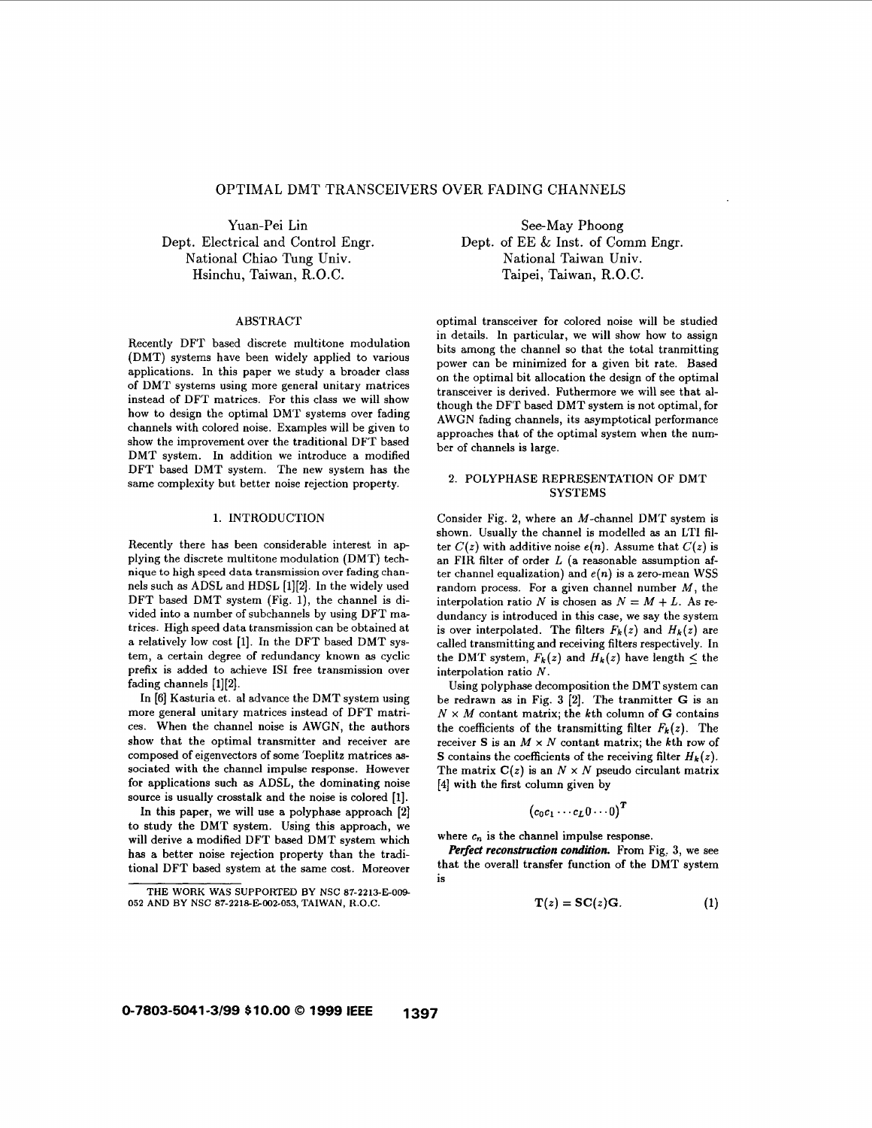# OPTIMAL DMT TRANSCEIVERS OVER FADING CHANNELS

Yuan-Pei Lin Dept. Electrical and Control Engr. National Chiao Tung Univ. Hsinchu, Taiwan, R.O.C.

#### ABSTRACT

Recently DFT based discrete multitone modulation (DMT) systems have been widely applied to various applications. In this paper we study a broader class of DMT systems using more general unitary matrices instead of DFT matrices. For this class we will show how to design the optimal DMT systems over fading channels with colored noise. Examples will be given to show the improvement over the traditional DFT based DMT system. In addition we introduce a modified DFT based DMT system. The new system has the same complexity but better noise rejection property.

# **1.** INTRODUCTION

Recently there has been considerable interest in applying the discrete multitone modulation (DMT) technique to high speed data transmission over fading channels such **as** ADSL and HDSL **[1][2].** In the widely used DFT based DMT system (Fig. l), the channel is divided into a number of subchannels by using DFT matrices. High speed data transmission can be obtained at a relatively low cost **[l].** In the DFT based DMT system, a certain degree of redundancy known as cyclic prefix is added to achieve **IS1** free transmission over fading channels **[1][2].** 

In **[6]** Kasturia et. a1 advance the DMT system using more general unitary matrices instead of DFT matrices. When the channel noise is AWGN, the authors show that the optimal transmitter and receiver are composed of eigenvectors of some Toeplitz matrices **as**sociated with the channel impulse response. However for applications such **as** ADSL, the dominating noise source is usually crosstalk and the noise is colored [l].

In this paper, we will use a polyphase approach [2] to study the DMT system. Using this approach, we will derive a modified DFT based DMT system which has a better noise rejection property than the traditional DFT based system at the same cost. Moreover

See-May Phoong Dept. of EE & Inst. **of** Comm Engr. National Taiwan Univ. Taipei, Taiwan, R.O.C.

optimal transceiver for colored noise will be studied in details. In particular, we will show how to assign bits among the channel so that the total tranmitting power can be minimized for a given bit rate. Based on the optimal bit allocation the design of the optimal transceiver is derived. Futhermore we will see that although the DFT based DMT system is not optimal, for AWGN fading channels, its asymptotical performance approaches that of the optimal system when the number of channels is large.

# **2.** POLYPHASE REPRESENTATION OF DMT **SYSTEMS**

Consider Fig. **2,** where an M-channel DMT system is shown. Usually the channel is modelled **as** an LTI filter  $C(z)$  with additive noise  $e(n)$ . Assume that  $C(z)$  is an FIR filter of order *L* (a reasonable assumption after channel equalization) and  $e(n)$  is a zero-mean WSS random process. For a given channel number  $M$ , the interpolation ratio *N* is chosen as  $N = M + L$ . As redundancy is introduced in this case, we say the system is over interpolated. The filters  $F_k(z)$  and  $H_k(z)$  are called transmitting and receiving filters respectively. In the DMT system,  $F_k(z)$  and  $H_k(z)$  have length  $\leq$  the interpolation ratio *N.* 

Using polyphase decomposition the DMT system can be redrawn as in Fig. **3 [2].** The tranmitter G is an  $N \times M$  contant matrix; the kth column of *G* contains the coefficients of the transmitting filter  $F_k(z)$ . The receiver **S** is an  $M \times N$  contant matrix; the kth row of **S** contains the coefficients of the receiving filter  $H_k(z)$ . The matrix  $C(z)$  is an  $N \times N$  pseudo circulant matrix **[4]** with the first column given by

$$
\left(c_0c_1\cdots c_L 0\cdots 0\right)^T
$$

where  $c_n$  is the channel impulse response.

*Perfect reconstruction condition.* From Fig. 3, we see that the overall transfer function of the DMT system is

$$
\mathbf{T}(z) = \mathbf{SC}(z)\mathbf{G}.\tag{1}
$$

**THE WORK WAS SUPPORTED BY NSC 87-2213-E-009 052 AND BY NSC 87-2218E002-053, TAIWAN, R.O.C.**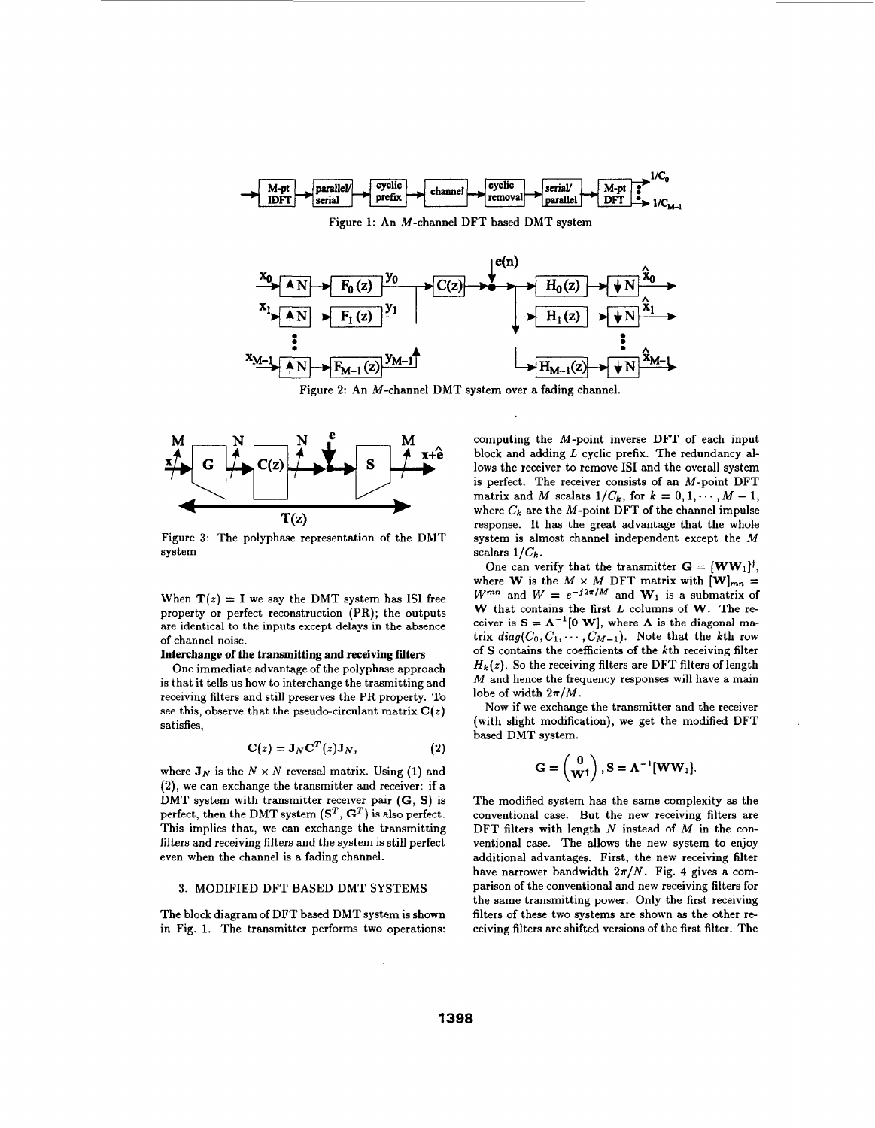

Figure **1:** An M-channel DFT based DMT system



Figure 2: An M-channel DMT system over a fading channel



Figure 3: The polyphase representation of the DMT system

When  $T(z) = I$  we say the DMT system has ISI free property or perfect reconstruction (PR); the outputs are identical to the inputs except delays in the absence of channel noise.

# **Interchange** of **the transmitting and receiving filters**

One immediate advantage of the polyphase approach is that it tells us how to interchange the trasmitting and receiving filters and still preserves the PR property. To see this, observe that the pseudo-circulant matrix  $C(z)$ satisfies,

$$
\mathbf{C}(z) = \mathbf{J}_N \mathbf{C}^T(z) \mathbf{J}_N, \tag{2}
$$

where  $J_N$  is the  $N \times N$  reversal matrix. Using (1) and **(2),** we can exchange the transmitter and receiver: if a DMT system with transmitter receiver pair (G, **S)** is perfect, then the DMT system  $(S^T, G^T)$  is also perfect. This implies that, we can exchange the transmitting filters and receiving filters and the system is still perfect even when the channel is a fading channel.

### 3. MODIFIED DFT BASED DMT SYSTEMS

The block diagramof DFT based DMT system is shown in Fig. **1.** The transmitter performs two operations:

computing the M-point inverse DFT of each input block and adding  $L$  cyclic prefix. The redundancy allows the receiver to remove **IS1** and the overall system is perfect. The receiver consists of an M-point DFT matrix and *M* scalars  $1/C_k$ , for  $k = 0, 1, \dots, M - 1$ , where  $C_k$  are the M-point DFT of the channel impulse response. It has the great advantage that the whole system is almost channel independent except the M scalars  $1/C_k$ .

One can verify that the transmitter  $G = \{WW_1\}^{\dagger}$ , where **W** is the  $M \times M$  DFT matrix with  $[\mathbf{W}]_{mn} =$  $W^{mn}$  and  $W = e^{-j2\pi/M}$  and  $W_1$  is a submatrix of **W** that contains the first *L* columns of **W.** The receiver is  $S = \Lambda^{-1}[0 \text{ W}]$ , where  $\Lambda$  is the diagonal matrix  $diag(C_0, C_1, \cdots, C_{M-1})$ . Note that the kth row of **S** contains the coefficients of the kth receiving filter  $H_k(z)$ . So the receiving filters are DFT filters of length *M* and hence the frequency responses will have a main lobe of width  $2\pi/M$ .

Now if we exchange the transmitter and the receiver (with slight modification), we get the modified DFT based DMT system.

$$
\mathbf{G} = \begin{pmatrix} \mathbf{0} \\ \mathbf{W}^\dagger \end{pmatrix}, \mathbf{S} = \boldsymbol{\Lambda}^{-1} [\mathbf{W} \mathbf{W}_1].
$$

The modified system has the same complexity **as** the conventional case. But the new receiving filters are DFT filters with length  $N$  instead of  $M$  in the conventional case. The allows the new system to enjoy additional advantages. First, the new receiving filter have narrower bandwidth  $2\pi/N$ . Fig. 4 gives a comparison of the conventional and new receiving filters for the same transmitting power. Only the first receiving filters of these two systems are shown **as** the other receiving filters are shifted versions of the first filter. The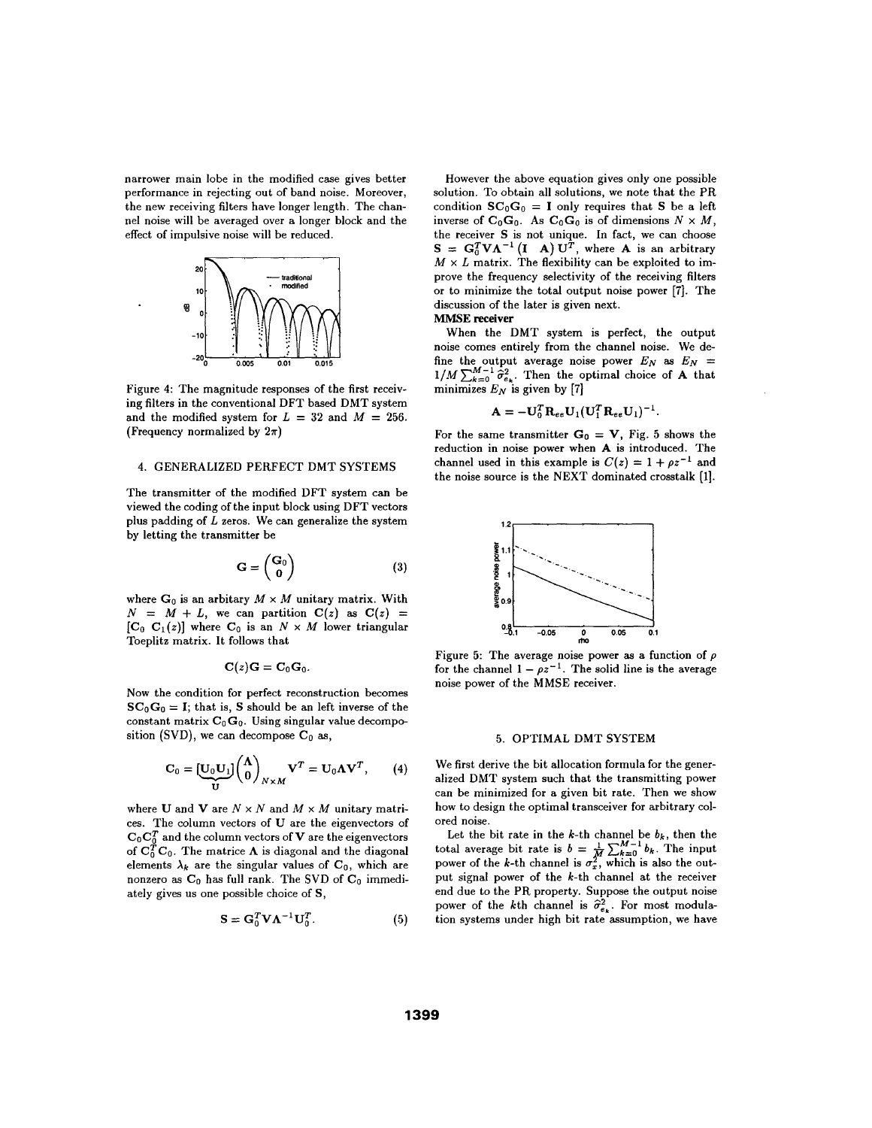narrower main lobe in the modified case gives better performance in rejecting out of band noise. Moreover, the new receiving filters have longer length. The channel noise will be averaged over a longer block and the effect of impulsive noise will be reduced.



Figure **4:** The magnitude responses of the first receiving filters in the conventional DFT based DMT system and the modified system for  $L = 32$  and  $M = 256$ . (Frequency normalized by  $2\pi$ )

## **4.** GENERALIZED PERFECT DMT SYSTEMS

The transmitter of the modified DFT system can be viewed the coding of the input block using DFT vectors plus padding of *L* zeros. We can generalize the system by letting the transmitter be

$$
\mathbf{G} = \begin{pmatrix} \mathbf{G}_0 \\ \mathbf{0} \end{pmatrix} \tag{3}
$$

where  $G_0$  is an arbitary  $M \times M$  unitary matrix. With  $N = M + L$ , we can partition  $C(z)$  as  $C(z)$  =  $[C_0 \ C_1(z)]$  where  $C_0$  is an  $N \times M$  lower triangular Toeplitz matrix. It follows that

$$
\mathbf{C}(z)\mathbf{G}=\mathbf{C}_0\mathbf{G}_0.
$$

Now the condition for perfect reconstruction becomes  $SC_0G_0 = I$ ; that is, **S** should be an left inverse of the constant matrix  $C_0$   $G_0$ . Using singular value decompo-

sition (SVD), we can decompose 
$$
C_0
$$
 as,  
\n
$$
C_0 = \underbrace{[U_0 U_1]}_{U} \begin{pmatrix} \Lambda \\ 0 \end{pmatrix}_{N \times M} V^T = U_0 \Lambda V^T, \qquad (4)
$$

where **U** and **V** are  $N \times N$  and  $M \times M$  unitary matrices. The column vectors of **U** are the eigenvectors of  $C_0C_0^T$  and the column vectors of **V** are the eigenvectors of  $C_0^T C_0$ . The matrice  $\Lambda$  is diagonal and the diagonal elements  $\lambda_k$  are the singular values of  $C_0$ , which are nonzero as  $C_0$  has full rank. The SVD of  $C_0$  immediately gives us one possible choice of **S,** 

$$
\mathbf{S} = \mathbf{G}_0^T \mathbf{V} \mathbf{\Lambda}^{-1} \mathbf{U}_0^T. \tag{5}
$$

However the above equation gives only one possible solution. To obtain all solutions, we note that the PR condition  $SC_0G_0 = I$  only requires that S be a left inverse of  $C_0G_0$ . As  $C_0G_0$  is of dimensions  $N \times M$ , the receiver **S** is not unique. In fact, we can choose **S** =  $G_0^T V \Lambda^{-1} (I \Lambda) U^T$ , where **A** is an arbitrary  $M \times L$  matrix. The flexibility can be exploited to improve the frequency selectivity of the receiving filters or to minimize the total output noise power **[7].** The discussion of the later is given next.

# **MMSE receiver**

When the DMT system is perfect, the output noise comes entirely from the channel noise. We define the output average noise power  $E_N$  as  $E_N =$  $1/M \sum_{k=0}^{M-1} \hat{\sigma}_{e_k}^2$ . Then the optimal choice of **A** that minimizes  $E_N$  is given by [7]

$$
\mathbf{A} = -\mathbf{U}_0^T \mathbf{R}_{ee} \mathbf{U}_1 (\mathbf{U}_1^T \mathbf{R}_{ee} \mathbf{U}_1)^{-1}.
$$

For the same transmitter  $G_0 = V$ , Fig. 5 shows the reduction in noise power when **A** is introduced. The channel used in this example is  $C(z) = 1 + \rho z^{-1}$  and the noise source is the NEXT dominated crosstalk [l].



Figure 5: The average noise power as a function of  $\rho$  for the channel  $1 - \rho z^{-1}$ . The solid line is the average noise power of the MMSE receiver.

# *5.* OPTIMAL DMT SYSTEM

We first derive the bit allocation formula for the generalized DMT system such that the transmitting power can be minimized for a given bit rate. Then we show how to design the optimal transceiver for arbitrary colored noise.

Let the bit rate in the *k*-th channel be  $b_k$ , then the total average bit rate is  $b = \frac{1}{M} \sum_{k=0}^{M-1} b_k$ . The input power of the k-th channel is  $\sigma_x^2$ , which is also the output signal power of the k-th channel at the receiver end due to the PR property. Suppose the output noise power of the kth channel is  $\hat{\sigma}_{e_k}^2$ . For most modulation systems under high bit rate assumption, we have